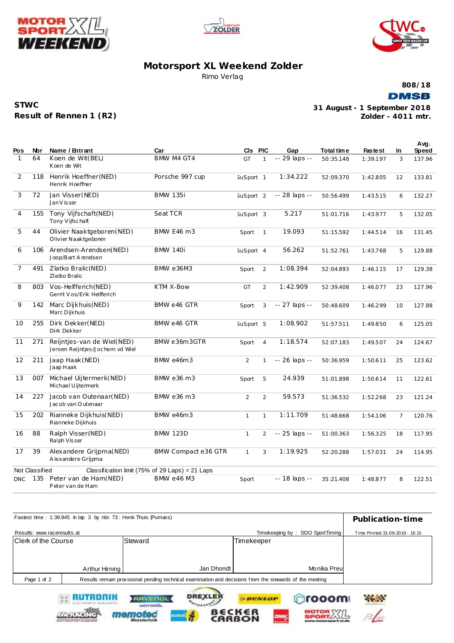





## **Motorsport XL Weekend Zolder** Rimo Verlag

**808/18**

**DMSB** 

| <b>STWC</b>             |  |
|-------------------------|--|
| Result of Rennen 1 (R2) |  |

**Zolder - 4011 mtr. 31 August - 1 September 2018**

File

MOTOR XX/L

| Pos            | Nbr            | Name / Entrant                                                | Car                                             | CIs PIC              |                | Gap            | Total time | <b>Fastest</b> | In. | Avg.<br>Speed |
|----------------|----------------|---------------------------------------------------------------|-------------------------------------------------|----------------------|----------------|----------------|------------|----------------|-----|---------------|
| 1              | 64             | Koen de Wit(BEL)<br>Koen de Wit                               | BMW M4 GT4                                      | GT                   | 1              | -- 29 laps --  | 50:35.148  | 1:39.197       | 3   | 137.96        |
| 2              | 118            | Henrik Hoeffner (NED)<br>Henrik Hoeffner                      | Porsche 997 cup                                 | SuSport 1            |                | 1:34.222       | 52:09.370  | 1:42.805       | 12  | 133.81        |
| 3              | 72             | Jan Visser (NED)<br>Jan V is ser                              | <b>BMW 135i</b>                                 | SuSport <sub>2</sub> |                | -- 28 laps --  | 50:56.499  | 1:43.515       | 6   | 132.27        |
| 4              | 155            | Tony Vijfschaft(NED)<br>Tony Vijfschaft                       | Seat TCR                                        | SuSport 3            |                | 5.217          | 51:01.716  | 1:43.977       | 5   | 132.05        |
| 5              | 44             | Olivier Naaktgeboren (NED)<br>Olivier Naaktgeboren            | BMW E46 m3                                      | Sport                | $\overline{1}$ | 19.093         | 51:15.592  | 1:44.514       | 16  | 131.45        |
| 6              | 106            | Arendsen-Arendsen(NED)<br>Joop/Bart Arendsen                  | <b>BMW 140i</b>                                 | SuSport 4            |                | 56.262         | 51:52.761  | 1:43.768       | 5   | 129.88        |
| $\overline{7}$ | 491            | Zlatko Bralic (NED)<br>Zlatko Bralic                          | <b>BMW e36M3</b>                                | Sport                | 2              | 1:08.394       | 52:04.893  | 1:46.115       | 17  | 129.38        |
| 8              | 803            | Vos-Helfferich (NED)<br>Gerrit Vos/Erik Helfferich            | KTM X-Bow                                       | GT                   | 2              | 1:42.909       | 52:39.408  | 1:46.077       | 23  | 127.96        |
| 9              | 142            | Marc Dijkhuis (NED)<br>Marc Dijkhuis                          | BMW e46 GTR                                     | Sport                | 3              | -- 27 laps --  | 50:48.609  | 1:46.299       | 10  | 127.88        |
| 10             | 255            | Dirk Dekker(NED)<br>Dirk Dekker                               | BMW e46 GTR                                     | SuSport 5            |                | 1:08.902       | 51:57.511  | 1:49.850       | 6   | 125.05        |
| 11             | 271            | Reijntjes-van de Wiel(NED)<br>Jeroen Reijntjes/Jochem vd Wiel | BMW e36m3GTR                                    | Sport                | $\overline{4}$ | 1:18.574       | 52:07.183  | 1:49.507       | 24  | 124.67        |
| 12             | 211            | Jaap Haak (NED)<br>Jaap Haak                                  | <b>BMW e46m3</b>                                | $\overline{2}$       | $\mathbf{1}$   | -- 26 laps --  | 50:36.959  | 1:50.611       | 25  | 123.62        |
| 13             | 007            | Michael Uijtermerk(NED)<br>Michael Uijtermerk                 | BMW e36 m3                                      | Sport                | 5              | 24.939         | 51:01.898  | 1:50.614       | 11  | 122.61        |
| 14             | 227            | Jacob van Outenaar(NED)<br>Jacob van Outenaar                 | BMW e36 m3                                      | 2                    | 2              | 59.573         | 51:36.532  | 1:52.268       | 23  | 121.24        |
| 15             | 202            | Rianneke Dijkhuis(NED)<br>Rianneke Dijkhuis                   | BMW e46m3                                       | $\mathbf{1}$         | $\mathbf{1}$   | 1:11.709       | 51:48.668  | 1:54.106       | 7   | 120.76        |
| 16             | 88             | Ralph Visser (NED)<br>Ralph Visser                            | <b>BMW 123D</b>                                 | $\mathbf{1}$         | $\overline{2}$ | -- 25 laps --  | 51:00.363  | 1:56.325       | 18  | 117.95        |
| 17             | 39             | Alexandere Grijpma(NED)<br>A lexandere Grijpma                | BMW Compact e36 GTR                             | $\mathbf{1}$         | 3              | 1:19.925       | 52:20.288  | 1:57.031       | 24  | 114.95        |
|                | Not Classified |                                                               | Classification limit (75% of 29 Laps) = 21 Laps |                      |                |                |            |                |     |               |
| <b>DNC</b>     | 135            | Peter van de Ham(NED)<br>Peter van de Ham                     | <b>BMW e46 M3</b>                               | Sport                |                | $-18$ laps $-$ | 35:21.408  | 1:48.877       | 8   | 122.51        |

|                             | Fastest time: 1:36.945 in lap 3 by nbr. 73: Henk Thuis (Pumaxs) |                                                                                                         |                |                                 | Publication-time                |
|-----------------------------|-----------------------------------------------------------------|---------------------------------------------------------------------------------------------------------|----------------|---------------------------------|---------------------------------|
| Results: www.raceresults.at |                                                                 |                                                                                                         |                | Timekeeping by: SDO SportTiming | Time Printed 31-08-2018 - 16:15 |
| <b>Clerk of the Course</b>  |                                                                 | Steward                                                                                                 | Timekeeper     |                                 |                                 |
|                             |                                                                 |                                                                                                         |                |                                 |                                 |
|                             |                                                                 |                                                                                                         |                |                                 |                                 |
|                             | Arthur Hirning                                                  |                                                                                                         | Jan Dhondt     | Monika Preu                     |                                 |
| Page 1 of 2                 |                                                                 | Results remain provisional pending technical examination and decisions from the stewards of the meeting |                |                                 |                                 |
|                             | RUTRONIK<br><b>ELECTRONICS WORLDWIDS</b>                        | <b>DREXLER</b><br><b>RAVENOL</b>                                                                        | <b>ODUNLOP</b> | mooon                           | <b>Philadelphia</b>             |

memotec

ilstro

**BECKER**